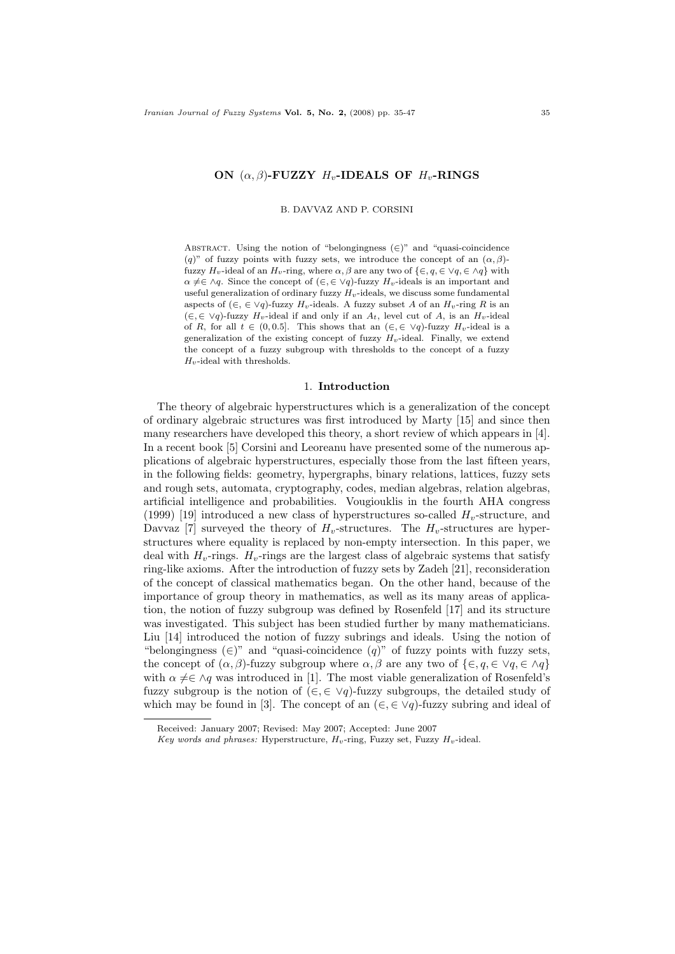## ON  $(\alpha, \beta)$ -FUZZY  $H_v$ -IDEALS OF  $H_v$ -RINGS

B. DAVVAZ AND P. CORSINI

ABSTRACT. Using the notion of "belongingness  $(\in)$ " and "quasi-coincidence (q)" of fuzzy points with fuzzy sets, we introduce the concept of an  $(\alpha, \beta)$ fuzzy  $H_v$ -ideal of an  $H_v$ -ring, where  $\alpha, \beta$  are any two of  $\{\in, q, \in \forall q, \in \Delta q\}$  with  $\alpha \neq \in \land q$ . Since the concept of  $(\in, \in \lor q)$ -fuzzy  $H_v$ -ideals is an important and useful generalization of ordinary fuzzy  $H_v$ -ideals, we discuss some fundamental aspects of  $(\in, \in \vee q)$ -fuzzy  $H_v$ -ideals. A fuzzy subset A of an  $H_v$ -ring R is an  $(∈, ∈ ∨q)$ -fuzzy  $H_v$ -ideal if and only if an  $A_t$ , level cut of  $A$ , is an  $H_v$ -ideal of R, for all  $t \in (0, 0.5]$ . This shows that an  $(\in, \in \vee q)$ -fuzzy  $H_v$ -ideal is a generalization of the existing concept of fuzzy  $H_v$ -ideal. Finally, we extend the concept of a fuzzy subgroup with thresholds to the concept of a fuzzy  $H_v$ -ideal with thresholds.

# 1. Introduction

The theory of algebraic hyperstructures which is a generalization of the concept of ordinary algebraic structures was first introduced by Marty [15] and since then many researchers have developed this theory, a short review of which appears in [4]. In a recent book [5] Corsini and Leoreanu have presented some of the numerous applications of algebraic hyperstructures, especially those from the last fifteen years, in the following fields: geometry, hypergraphs, binary relations, lattices, fuzzy sets and rough sets, automata, cryptography, codes, median algebras, relation algebras, artificial intelligence and probabilities. Vougiouklis in the fourth AHA congress (1999) [19] introduced a new class of hyperstructures so-called  $H<sub>v</sub>$ -structure, and Davvaz [7] surveyed the theory of  $H_v$ -structures. The  $H_v$ -structures are hyperstructures where equality is replaced by non-empty intersection. In this paper, we deal with  $H_{\nu}$ -rings.  $H_{\nu}$ -rings are the largest class of algebraic systems that satisfy ring-like axioms. After the introduction of fuzzy sets by Zadeh [21], reconsideration of the concept of classical mathematics began. On the other hand, because of the importance of group theory in mathematics, as well as its many areas of application, the notion of fuzzy subgroup was defined by Rosenfeld [17] and its structure was investigated. This subject has been studied further by many mathematicians. Liu [14] introduced the notion of fuzzy subrings and ideals. Using the notion of "belongingness  $(∈)$ " and "quasi-coincidence  $(q)$ " of fuzzy points with fuzzy sets, the concept of  $(\alpha, \beta)$ -fuzzy subgroup where  $\alpha, \beta$  are any two of  $\{\in, q \in \Diamond q\}$ with  $\alpha \neq \in \mathcal{A}$  was introduced in [1]. The most viable generalization of Rosenfeld's fuzzy subgroup is the notion of  $(\in, \in \vee q)$ -fuzzy subgroups, the detailed study of which may be found in [3]. The concept of an  $(\epsilon, \epsilon \vee q)$ -fuzzy subring and ideal of

Received: January 2007; Revised: May 2007; Accepted: June 2007

Key words and phrases: Hyperstructure,  $H_v$ -ring, Fuzzy set, Fuzzy  $H_v$ -ideal.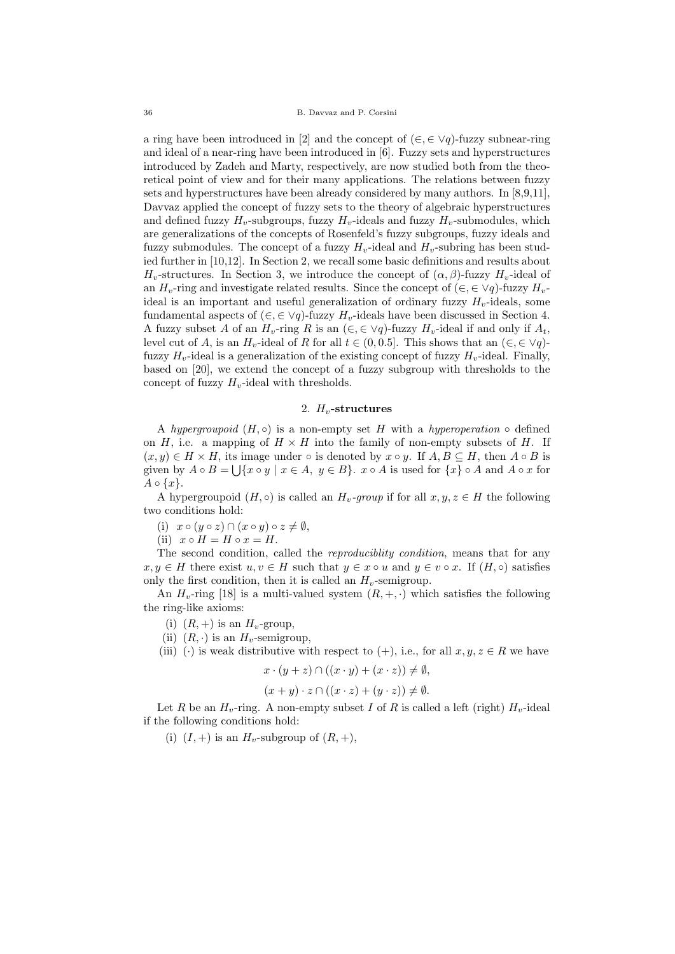a ring have been introduced in [2] and the concept of  $(\in, \in \vee q)$ -fuzzy subnear-ring and ideal of a near-ring have been introduced in [6]. Fuzzy sets and hyperstructures introduced by Zadeh and Marty, respectively, are now studied both from the theoretical point of view and for their many applications. The relations between fuzzy sets and hyperstructures have been already considered by many authors. In [8,9,11], Davvaz applied the concept of fuzzy sets to the theory of algebraic hyperstructures and defined fuzzy  $H_v$ -subgroups, fuzzy  $H_v$ -ideals and fuzzy  $H_v$ -submodules, which are generalizations of the concepts of Rosenfeld's fuzzy subgroups, fuzzy ideals and fuzzy submodules. The concept of a fuzzy  $H_v$ -ideal and  $H_v$ -subring has been studied further in [10,12]. In Section 2, we recall some basic definitions and results about  $H_v$ -structures. In Section 3, we introduce the concept of  $(\alpha, \beta)$ -fuzzy  $H_v$ -ideal of an  $H_v$ -ring and investigate related results. Since the concept of  $(\in, \in \forall q)$ -fuzzy  $H_v$ ideal is an important and useful generalization of ordinary fuzzy  $H_v$ -ideals, some fundamental aspects of  $(\in, \in \vee q)$ -fuzzy  $H_v$ -ideals have been discussed in Section 4. A fuzzy subset A of an  $H_v$ -ring R is an  $(\in, \in \vee q)$ -fuzzy  $H_v$ -ideal if and only if  $A_t$ , level cut of A, is an  $H_v$ -ideal of R for all  $t \in (0, 0.5]$ . This shows that an  $(\in, \in \vee q)$ fuzzy  $H_v$ -ideal is a generalization of the existing concept of fuzzy  $H_v$ -ideal. Finally, based on [20], we extend the concept of a fuzzy subgroup with thresholds to the concept of fuzzy  $H_v$ -ideal with thresholds.

#### 2.  $H_v$ -structures

A hypergroupoid  $(H, \circ)$  is a non-empty set H with a hyperoperation  $\circ$  defined on  $H$ , i.e. a mapping of  $H \times H$  into the family of non-empty subsets of H. If  $(x, y) \in H \times H$ , its image under  $\circ$  is denoted by  $x \circ y$ . If  $A, B \subseteq H$ , then  $A \circ B$  is given by  $A \circ B = \bigcup \{x \circ y \mid x \in A, y \in B\}$ .  $x \circ A$  is used for  $\{x\} \circ A$  and  $A \circ x$  for  $A \circ \{x\}.$ 

A hypergroupoid  $(H, \circ)$  is called an  $H_v$ -group if for all  $x, y, z \in H$  the following two conditions hold:

(i)  $x \circ (y \circ z) \cap (x \circ y) \circ z \neq \emptyset$ ,

(ii)  $x \circ H = H \circ x = H$ .

The second condition, called the reproduciblity condition, means that for any  $x, y \in H$  there exist  $u, v \in H$  such that  $y \in x \circ u$  and  $y \in v \circ x$ . If  $(H, \circ)$  satisfies only the first condition, then it is called an  $H_v$ -semigroup.

An  $H_v$ -ring [18] is a multi-valued system  $(R, +, \cdot)$  which satisfies the following the ring-like axioms:

- (i)  $(R, +)$  is an  $H_v$ -group,
- (ii)  $(R, \cdot)$  is an  $H_v$ -semigroup,

(iii) (·) is weak distributive with respect to (+), i.e., for all  $x, y, z \in R$  we have

$$
x \cdot (y + z) \cap ((x \cdot y) + (x \cdot z)) \neq \emptyset,
$$

$$
(x+y)\cdot z \cap ((x\cdot z) + (y\cdot z)) \neq \emptyset.
$$

Let R be an  $H_v$ -ring. A non-empty subset I of R is called a left (right)  $H_v$ -ideal if the following conditions hold:

(i)  $(I, +)$  is an  $H_v$ -subgroup of  $(R, +)$ ,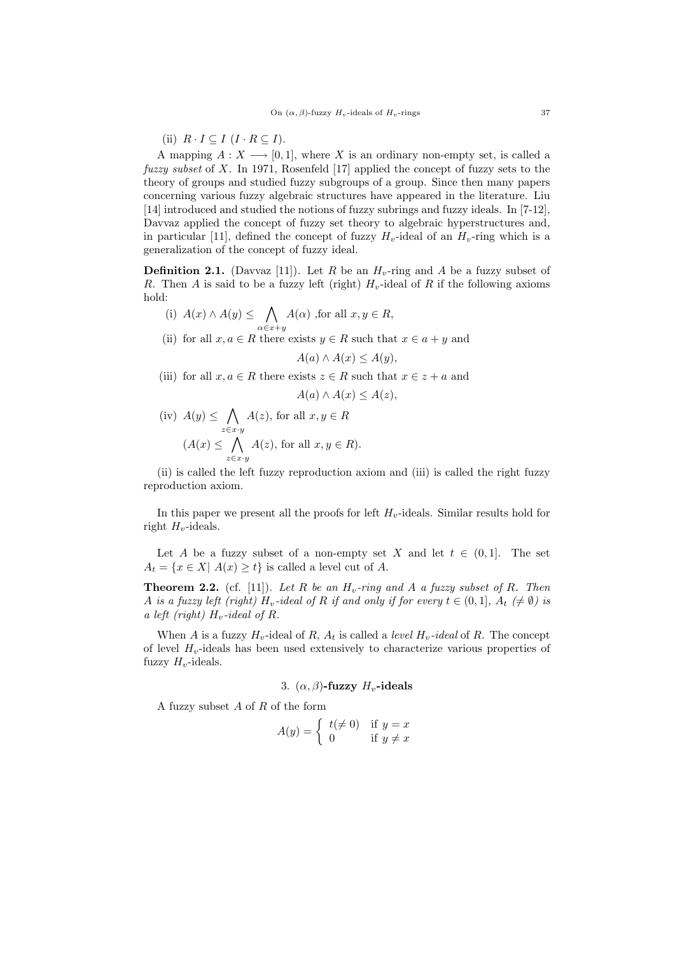(ii)  $R \cdot I \subseteq I \ (I \cdot R \subseteq I).$ 

A mapping  $A: X \longrightarrow [0,1]$ , where X is an ordinary non-empty set, is called a fuzzy subset of X. In 1971, Rosenfeld [17] applied the concept of fuzzy sets to the theory of groups and studied fuzzy subgroups of a group. Since then many papers concerning various fuzzy algebraic structures have appeared in the literature. Liu [14] introduced and studied the notions of fuzzy subrings and fuzzy ideals. In [7-12], Davvaz applied the concept of fuzzy set theory to algebraic hyperstructures and, in particular [11], defined the concept of fuzzy  $H_v$ -ideal of an  $H_v$ -ring which is a generalization of the concept of fuzzy ideal.

**Definition 2.1.** (Davvaz [11]). Let R be an  $H_v$ -ring and A be a fuzzy subset of R. Then A is said to be a fuzzy left (right)  $H_v$ -ideal of R if the following axioms hold:

(i)  $A(x) \wedge A(y)$  ≤ ∧  $\alpha \in x+y$  $A(\alpha)$ , for all  $x, y \in R$ ,

(ii) for all  $x, a \in R$  there exists  $y \in R$  such that  $x \in a + y$  and

$$
A(a) \wedge A(x) \le A(y),
$$

(iii) for all  $x, a \in R$  there exists  $z \in R$  such that  $x \in z + a$  and

$$
A(a) \wedge A(x) \le A(z),
$$

 $(iv)$   $A(y) \leq \bigwedge$ z∈x·y  $A(z)$ , for all  $x, y \in R$  $(A(x) \leq \bigwedge A(z),$  for all  $x, y \in R$ ). z∈x·y

(ii) is called the left fuzzy reproduction axiom and (iii) is called the right fuzzy reproduction axiom.

In this paper we present all the proofs for left  $H_v$ -ideals. Similar results hold for right  $H_v$ -ideals.

Let A be a fuzzy subset of a non-empty set X and let  $t \in (0,1]$ . The set  $A_t = \{x \in X | A(x) \geq t\}$  is called a level cut of A.

**Theorem 2.2.** (cf. [11]). Let R be an  $H_v$ -ring and A a fuzzy subset of R. Then A is a fuzzy left (right)  $H_v$ -ideal of R if and only if for every  $t \in (0,1]$ ,  $A_t \neq \emptyset$ ) is a left (right)  $H_v$ -ideal of R.

When A is a fuzzy  $H_v$ -ideal of R,  $A_t$  is called a *level*  $H_v$ -ideal of R. The concept of level  $H_v$ -ideals has been used extensively to characterize various properties of fuzzy  $H_v$ -ideals.

# 3.  $(\alpha, \beta)$ -fuzzy  $H_v$ -ideals

A fuzzy subset A of R of the form

$$
A(y) = \begin{cases} t(\neq 0) & \text{if } y = x \\ 0 & \text{if } y \neq x \end{cases}
$$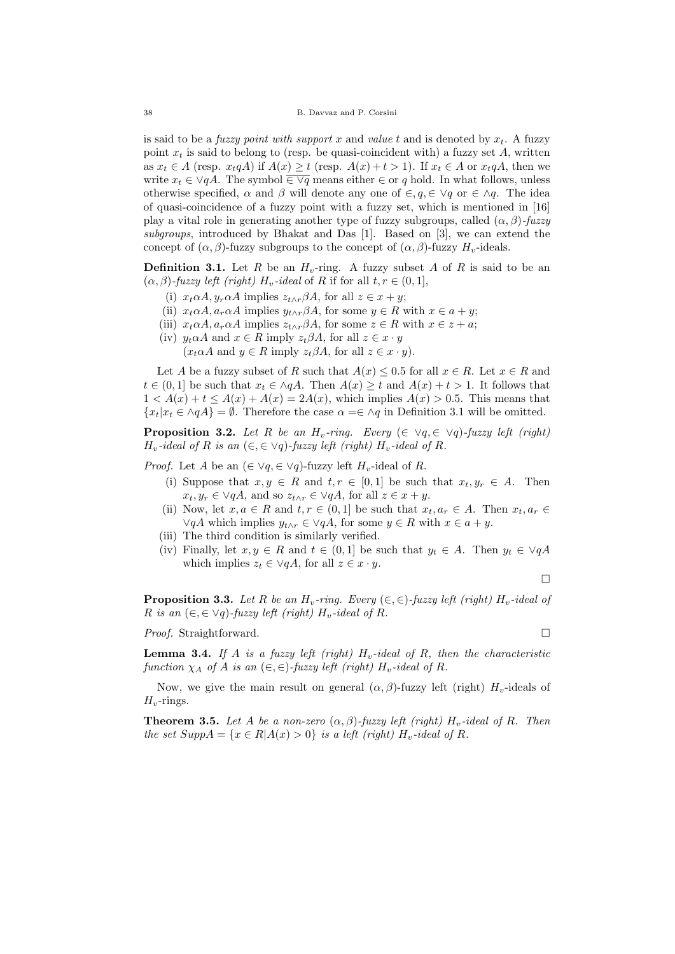is said to be a *fuzzy point with support x* and *value t* and is denoted by  $x_t$ . A fuzzy point  $x_t$  is said to belong to (resp. be quasi-coincident with) a fuzzy set A, written as  $x_t \in A$  (resp.  $x_t q A$ ) if  $A(x) \ge t$  (resp.  $A(x) + t > 1$ ). If  $x_t \in A$  or  $x_t q A$ , then we write  $x_t \in \forall qA$ . The symbol  $\overline{\in \forall q}$  means either  $\in$  or q hold. In what follows, unless otherwise specified,  $\alpha$  and  $\beta$  will denote any one of  $\in$ ,  $q$ ,  $\in \forall q$  or  $\in \wedge q$ . The idea of quasi-coincidence of a fuzzy point with a fuzzy set, which is mentioned in [16] play a vital role in generating another type of fuzzy subgroups, called  $(\alpha, \beta)$ -fuzzy subgroups, introduced by Bhakat and Das [1]. Based on [3], we can extend the concept of  $(\alpha, \beta)$ -fuzzy subgroups to the concept of  $(\alpha, \beta)$ -fuzzy  $H_v$ -ideals.

**Definition 3.1.** Let R be an  $H_v$ -ring. A fuzzy subset A of R is said to be an  $(\alpha, \beta)$ -fuzzy left (right)  $H_v$ -ideal of R if for all  $t, r \in (0, 1],$ 

- (i)  $x_t \alpha A$ ,  $y_r \alpha A$  implies  $z_{t \wedge r} \beta A$ , for all  $z \in x + y$ ;
- (ii)  $x_t \alpha A$ ,  $a_r \alpha A$  implies  $y_{t \wedge r} \beta A$ , for some  $y \in R$  with  $x \in a + y$ ;
- (iii)  $x_t \alpha A$ ,  $a_r \alpha A$  implies  $z_{t \wedge r} \beta A$ , for some  $z \in R$  with  $x \in z + a$ ;
- (iv)  $y_t \alpha A$  and  $x \in R$  imply  $z_t \beta A$ , for all  $z \in x \cdot y$

 $(x_t \alpha A \text{ and } y \in R \text{ imply } z_t \beta A, \text{ for all } z \in x \cdot y).$ 

Let A be a fuzzy subset of R such that  $A(x) \leq 0.5$  for all  $x \in R$ . Let  $x \in R$  and  $t \in (0,1]$  be such that  $x_t \in \land qA$ . Then  $A(x) \geq t$  and  $A(x) + t > 1$ . It follows that  $1 < A(x) + t \leq A(x) + A(x) = 2A(x)$ , which implies  $A(x) > 0.5$ . This means that  ${x_t | x_t \in \Diamond qA} = \emptyset$ . Therefore the case  $\alpha = \in \Diamond q$  in Definition 3.1 will be omitted.

**Proposition 3.2.** Let R be an H<sub>v</sub>-ring. Every  $(\in \forall q, \in \forall q)$ -fuzzy left (right)  $H_v$ -ideal of R is an  $(\in, \in \vee q)$ -fuzzy left (right)  $H_v$ -ideal of R.

*Proof.* Let A be an  $(\in \vee q, \in \vee q)$ -fuzzy left  $H_v$ -ideal of R.

- (i) Suppose that  $x, y \in R$  and  $t, r \in [0,1]$  be such that  $x_t, y_r \in A$ . Then  $x_t, y_r \in \forall qA$ , and so  $z_{t \wedge r} \in \forall qA$ , for all  $z \in x + y$ .
- (ii) Now, let  $x, a \in R$  and  $t, r \in (0,1]$  be such that  $x_t, a_r \in A$ . Then  $x_t, a_r \in A$  $\forall qA$  which implies  $y_{t \wedge r} \in \forall qA$ , for some  $y \in R$  with  $x \in a + y$ .
- (iii) The third condition is similarly verified.
- (iv) Finally, let  $x, y \in R$  and  $t \in (0, 1]$  be such that  $y_t \in A$ . Then  $y_t \in \forall qA$ which implies  $z_t \in \forall qA$ , for all  $z \in x \cdot y$ .

 $\Box$ 

**Proposition 3.3.** Let R be an  $H_v$ -ring. Every  $(\in, \in)$ -fuzzy left (right)  $H_v$ -ideal of R is an  $(\in, \in \forall q)$ -fuzzy left (right)  $H_v$ -ideal of R.

*Proof.* Straightforward. □

**Lemma 3.4.** If A is a fuzzy left (right)  $H_v$ -ideal of R, then the characteristic function  $\chi_A$  of A is an  $(\in, \in)$ -fuzzy left (right)  $H_v$ -ideal of R.

Now, we give the main result on general  $(\alpha, \beta)$ -fuzzy left (right)  $H_v$ -ideals of  $H_v$ -rings.

**Theorem 3.5.** Let A be a non-zero  $(\alpha, \beta)$ -fuzzy left (right) H<sub>v</sub>-ideal of R. Then the set  $Supp A = \{x \in R | A(x) > 0\}$  is a left (right)  $H_v$ -ideal of R.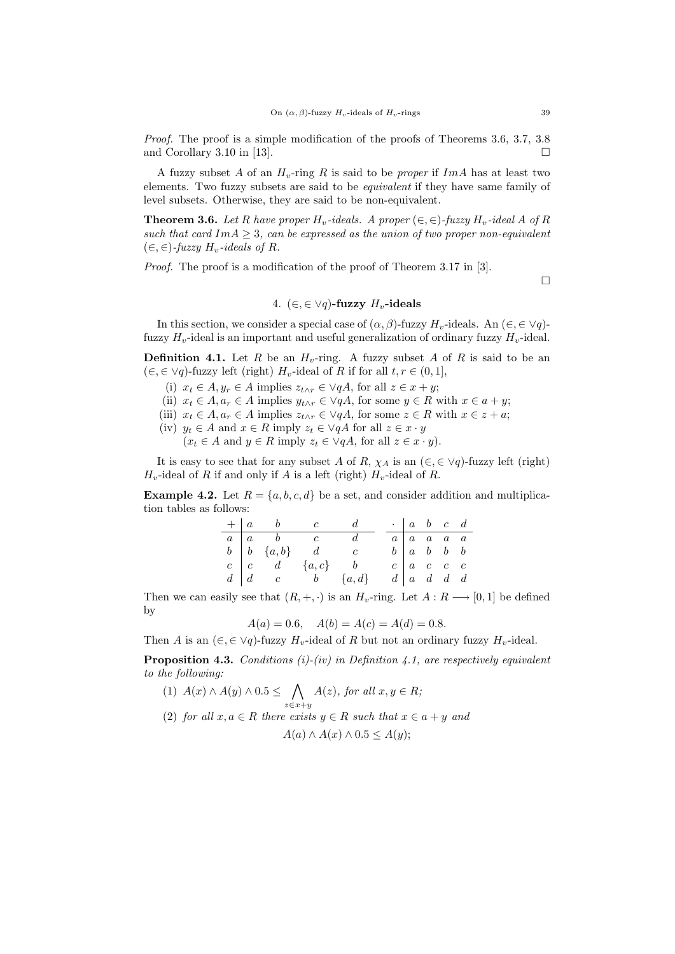Proof. The proof is a simple modification of the proofs of Theorems 3.6, 3.7, 3.8 and Corollary 3.10 in [13].

A fuzzy subset A of an  $H_v$ -ring R is said to be proper if ImA has at least two elements. Two fuzzy subsets are said to be equivalent if they have same family of level subsets. Otherwise, they are said to be non-equivalent.

**Theorem 3.6.** Let R have proper  $H_v$ -ideals. A proper  $(\in, \in)$ -fuzzy  $H_v$ -ideal A of R such that card  $Im A > 3$ , can be expressed as the union of two proper non-equivalent  $(\in, \in)$ -fuzzy  $H_v$ -ideals of R.

Proof. The proof is a modification of the proof of Theorem 3.17 in [3].

 $\Box$ 

## 4.  $(\in, \in \vee q)$ -fuzzy  $H_v$ -ideals

In this section, we consider a special case of  $(\alpha, \beta)$ -fuzzy  $H_v$ -ideals. An  $(\in, \in \forall q)$ fuzzy  $H_v$ -ideal is an important and useful generalization of ordinary fuzzy  $H_v$ -ideal.

**Definition 4.1.** Let R be an  $H_v$ -ring. A fuzzy subset A of R is said to be an  $(\in, \in \vee q)$ -fuzzy left (right)  $H_v$ -ideal of R if for all  $t, r \in (0, 1],$ 

- (i)  $x_t \in A, y_r \in A$  implies  $z_{t \wedge r} \in \forall qA$ , for all  $z \in x + y$ ;
- (ii)  $x_t \in A, a_r \in A$  implies  $y_{t \wedge r} \in \vee qA$ , for some  $y \in R$  with  $x \in a + y$ ;
- (iii)  $x_t \in A, a_t \in A$  implies  $z_{t \wedge r} \in \forall qA$ , for some  $z \in R$  with  $x \in z + a$ ;
- (iv)  $y_t \in A$  and  $x \in R$  imply  $z_t \in \forall qA$  for all  $z \in x \cdot y$  $(x_t \in A \text{ and } y \in R \text{ imply } z_t \in \forall qA, \text{ for all } z \in x \cdot y).$

It is easy to see that for any subset A of R,  $\chi_A$  is an  $(\in, \in \forall q)$ -fuzzy left (right)  $H_v$ -ideal of R if and only if A is a left (right)  $H_v$ -ideal of R.

**Example 4.2.** Let  $R = \{a, b, c, d\}$  be a set, and consider addition and multiplication tables as follows:

|  | $+ a b$ | $c$ d                                                    |  | $\cdot$   a b c d                               |  |  |
|--|---------|----------------------------------------------------------|--|-------------------------------------------------|--|--|
|  |         | $a \mid a \quad b \quad c$                               |  | $a \mid a \mid a \mid a \mid a$                 |  |  |
|  |         | $\begin{array}{ccc} b & b & \{a,b\} & d & c \end{array}$ |  | $b \begin{bmatrix} a & b & b & b \end{bmatrix}$ |  |  |
|  |         | $c \mid c \quad d \quad \{a,c\}$                         |  | $c \mid a \mid c \mid c \mid c$                 |  |  |
|  |         | $d \mid d \mid c \qquad b \qquad \{a,d\}$                |  | $d \mid a \mid d \mid d \mid d$                 |  |  |

Then we can easily see that  $(R, +, \cdot)$  is an  $H_v$ -ring. Let  $A: R \longrightarrow [0, 1]$  be defined by

 $A(a) = 0.6, \quad A(b) = A(c) = A(d) = 0.8.$ 

Then A is an  $(\in, \in \vee q)$ -fuzzy  $H_v$ -ideal of R but not an ordinary fuzzy  $H_v$ -ideal.

**Proposition 4.3.** Conditions  $(i)$ - $(iv)$  in Definition 4.1, are respectively equivalent to the following:

(1)  $A(x) \wedge A(y) \wedge 0.5 \leq \bigwedge$  $z \in x + y$  $A(z)$ , for all  $x, y \in R$ ; (2) for all  $x, a \in R$  there exists  $y \in R$  such that  $x \in a + y$  and  $A(a) \wedge A(x) \wedge 0.5 \leq A(y)$ ;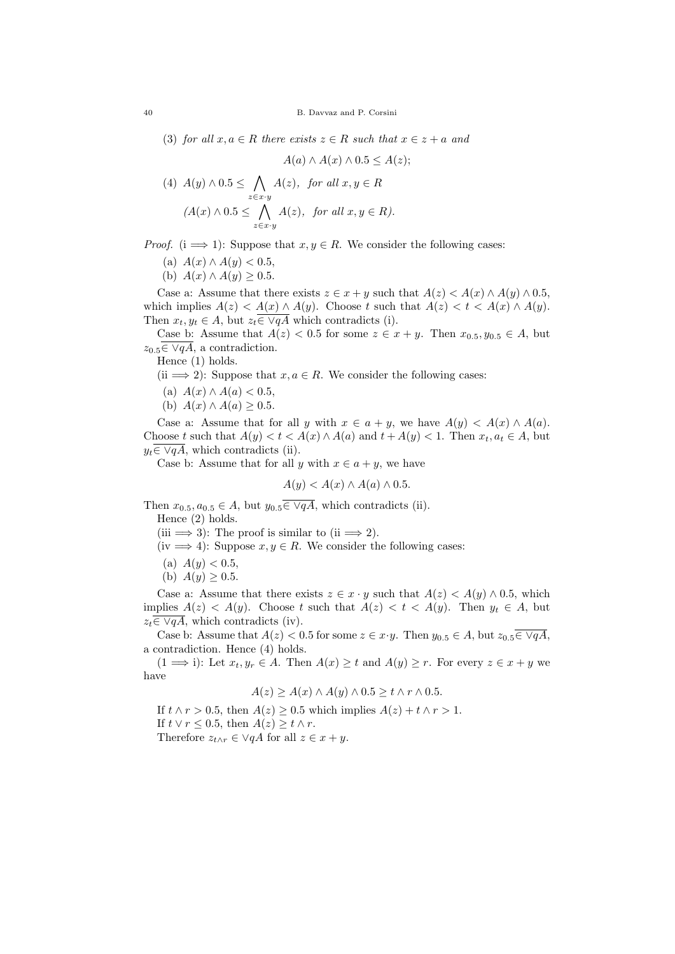(3) for all  $x, a \in R$  there exists  $z \in R$  such that  $x \in z + a$  and

$$
A(a) \wedge A(x) \wedge 0.5 \le A(z);
$$

(4) 
$$
A(y) \wedge 0.5 \leq \bigwedge_{z \in x \cdot y} A(z)
$$
, for all  $x, y \in R$   
\n $(A(x) \wedge 0.5 \leq \bigwedge_{z \in x \cdot y} A(z)$ , for all  $x, y \in R$ ).

*Proof.* (i  $\implies$  1): Suppose that  $x, y \in R$ . We consider the following cases:

- (a)  $A(x) \wedge A(y) < 0.5$ ,
- (b)  $A(x) \wedge A(y) \geq 0.5$ .

Case a: Assume that there exists  $z \in x + y$  such that  $A(z) < A(x) \wedge A(y) \wedge 0.5$ , which implies  $A(z) < A(x) \wedge A(y)$ . Choose t such that  $A(z) < t < A(x) \wedge A(y)$ . Then  $x_t, y_t \in A$ , but  $z_t \in \sqrt{qA}$  which contradicts (i).

Case b: Assume that  $A(z) < 0.5$  for some  $z \in x + y$ . Then  $x_{0.5}, y_{0.5} \in A$ , but  $z_{0.5} \in \sqrt{qA}$ , a contradiction.

Hence (1) holds.

(ii  $\implies$  2): Suppose that  $x, a \in R$ . We consider the following cases:

- (a)  $A(x) \wedge A(a) < 0.5$ ,
- (b)  $A(x) \wedge A(a) \geq 0.5$ .

Case a: Assume that for all y with  $x \in a + y$ , we have  $A(y) \leq A(x) \wedge A(a)$ . Choose t such that  $A(y) < t < A(x) \wedge A(a)$  and  $t + A(y) < 1$ . Then  $x_t, a_t \in A$ , but  $y_t \in \forall qA$ , which contradicts (ii).

Case b: Assume that for all y with  $x \in a + y$ , we have

$$
A(y) < A(x) \land A(a) \land 0.5.
$$

Then  $x_{0.5}, a_{0.5} \in A$ , but  $y_{0.5} \in \sqrt{qA}$ , which contradicts (ii). Hence (2) holds.

(iii  $\implies$  3): The proof is similar to (ii  $\implies$  2).

- (iv  $\implies$  4): Suppose  $x, y \in R$ . We consider the following cases:
- (a)  $A(y) < 0.5$ ,
- (b)  $A(y) > 0.5$ .

Case a: Assume that there exists  $z \in x \cdot y$  such that  $A(z) < A(y) \wedge 0.5$ , which implies  $A(z) < A(y)$ . Choose t such that  $A(z) < t < A(y)$ . Then  $y_t \in A$ , but  $z_t \in \sqrt{qA}$ , which contradicts (iv).

Case b: Assume that  $A(z) < 0.5$  for some  $z \in x \cdot y$ . Then  $y_{0.5} \in A$ , but  $z_{0.5} \in \sqrt{qA}$ , a contradiction. Hence (4) holds.

 $(1 \implies i)$ : Let  $x_t, y_r \in A$ . Then  $A(x) \ge t$  and  $A(y) \ge r$ . For every  $z \in x + y$  we have

$$
A(z) \ge A(x) \wedge A(y) \wedge 0.5 \ge t \wedge r \wedge 0.5.
$$

If  $t \wedge r > 0.5$ , then  $A(z) \geq 0.5$  which implies  $A(z) + t \wedge r > 1$ . If  $t \vee r \leq 0.5$ , then  $A(z) \geq t \wedge r$ . Therefore  $z_{t\wedge r} \in \forall qA$  for all  $z \in x + y$ .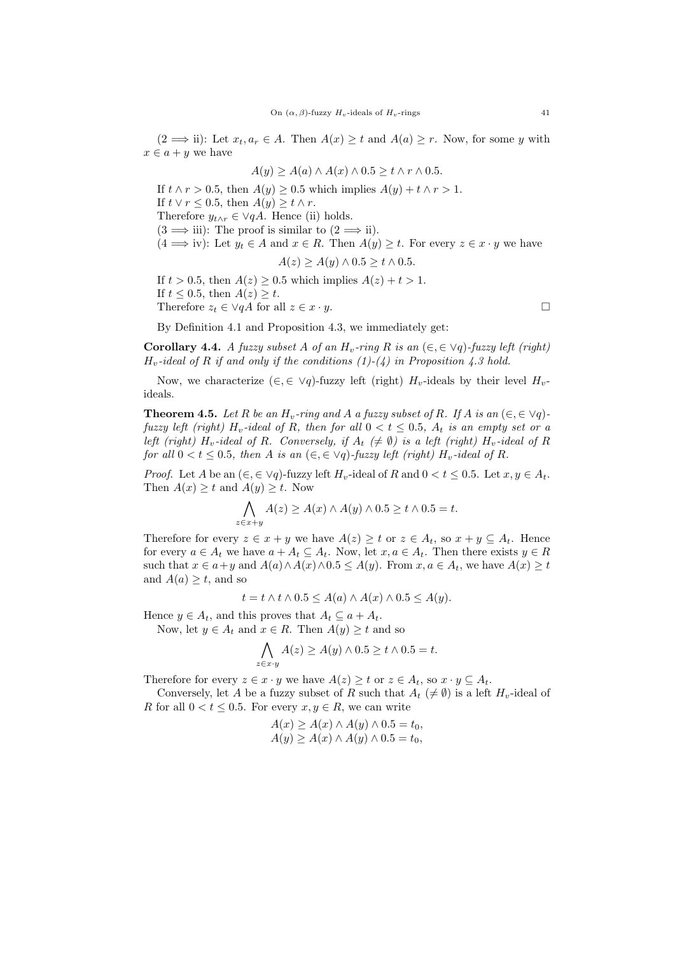$(2 \implies \text{ii}):$  Let  $x_t, a_r \in A$ . Then  $A(x) \geq t$  and  $A(a) \geq r$ . Now, for some y with  $x \in a + y$  we have

$$
A(y) \ge A(a) \wedge A(x) \wedge 0.5 \ge t \wedge r \wedge 0.5.
$$

If  $t \wedge r > 0.5$ , then  $A(y) \geq 0.5$  which implies  $A(y) + t \wedge r > 1$ . If  $t \vee r \leq 0.5$ , then  $A(y) \geq t \wedge r$ . Therefore  $y_{t \wedge r} \in \forall qA$ . Hence (ii) holds.  $(3 \implies$  iii): The proof is similar to  $(2 \implies$  ii).  $(4 \implies \text{iv}):$  Let  $y_t \in A$  and  $x \in R$ . Then  $A(y) \geq t$ . For every  $z \in x \cdot y$  we have  $A(z) \ge A(y) \wedge 0.5 \ge t \wedge 0.5$ . If  $t > 0.5$ , then  $A(z) \geq 0.5$  which implies  $A(z) + t > 1$ . If  $t \leq 0.5$ , then  $A(z) \geq t$ .

Therefore  $z_t \in \forall qA$  for all  $z \in x \cdot y$ .

By Definition 4.1 and Proposition 4.3, we immediately get:

Corollary 4.4. A fuzzy subset A of an  $H_v$ -ring R is an  $(\epsilon, \epsilon \vee q)$ -fuzzy left (right)  $H_v$ -ideal of R if and only if the conditions  $(1)-(4)$  in Proposition 4.3 hold.

Now, we characterize  $(\in, \in \vee q)$ -fuzzy left (right)  $H_v$ -ideals by their level  $H_v$ ideals.

**Theorem 4.5.** Let R be an  $H_v$ -ring and A a fuzzy subset of R. If A is an  $(\in, \in \forall q)$ fuzzy left (right)  $H_v$ -ideal of R, then for all  $0 < t \leq 0.5$ ,  $A_t$  is an empty set or a left (right) H<sub>v</sub>-ideal of R. Conversely, if  $A_t \neq \emptyset$ ) is a left (right) H<sub>v</sub>-ideal of R for all  $0 < t < 0.5$ , then A is an  $(\epsilon, \epsilon \vee q)$ -fuzzy left (right)  $H_v$ -ideal of R.

*Proof.* Let A be an  $(\epsilon, \epsilon \vee q)$ -fuzzy left  $H_v$ -ideal of R and  $0 < t \leq 0.5$ . Let  $x, y \in A_t$ . Then  $A(x) \geq t$  and  $A(y) \geq t$ . Now

$$
\bigwedge_{z \in x+y} A(z) \ge A(x) \land A(y) \land 0.5 \ge t \land 0.5 = t.
$$

Therefore for every  $z \in x + y$  we have  $A(z) \geq t$  or  $z \in A_t$ , so  $x + y \subseteq A_t$ . Hence for every  $a \in A_t$  we have  $a + A_t \subseteq A_t$ . Now, let  $x, a \in A_t$ . Then there exists  $y \in R$ such that  $x \in a+y$  and  $A(a) \wedge A(x) \wedge 0.5 \leq A(y)$ . From  $x, a \in A_t$ , we have  $A(x) \geq t$ and  $A(a) \geq t$ , and so

$$
t = t \wedge t \wedge 0.5 \le A(a) \wedge A(x) \wedge 0.5 \le A(y).
$$

Hence  $y \in A_t$ , and this proves that  $A_t \subseteq a + A_t$ .

Now, let  $y \in A_t$  and  $x \in R$ . Then  $A(y) \ge t$  and so

$$
\bigwedge_{z \in x \cdot y} A(z) \ge A(y) \land 0.5 \ge t \land 0.5 = t.
$$

Therefore for every  $z \in x \cdot y$  we have  $A(z) \geq t$  or  $z \in A_t$ , so  $x \cdot y \subseteq A_t$ .

Conversely, let A be a fuzzy subset of R such that  $A_t \neq \emptyset$  is a left  $H_v$ -ideal of R for all  $0 < t < 0.5$ . For every  $x, y \in R$ , we can write

$$
A(x) \ge A(x) \land A(y) \land 0.5 = t_0,
$$
  
 
$$
A(y) \ge A(x) \land A(y) \land 0.5 = t_0,
$$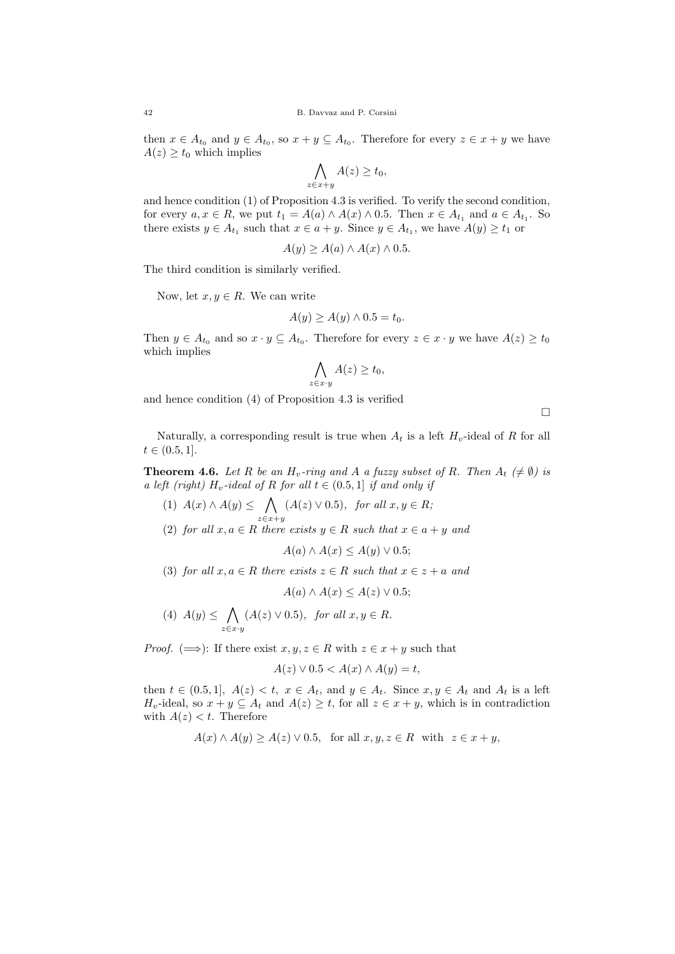then  $x \in A_{t_0}$  and  $y \in A_{t_0}$ , so  $x + y \subseteq A_{t_0}$ . Therefore for every  $z \in x + y$  we have  $A(z) \geq t_0$  which implies

$$
\bigwedge_{z \in x+y} A(z) \ge t_0,
$$

and hence condition (1) of Proposition 4.3 is verified. To verify the second condition, for every  $a, x \in R$ , we put  $t_1 = A(a) \wedge A(x) \wedge 0.5$ . Then  $x \in A_{t_1}$  and  $a \in A_{t_1}$ . So there exists  $y \in A_{t_1}$  such that  $x \in a + y$ . Since  $y \in A_{t_1}$ , we have  $A(y) \ge t_1$  or

$$
A(y) \ge A(a) \wedge A(x) \wedge 0.5.
$$

The third condition is similarly verified.

Now, let  $x, y \in R$ . We can write

$$
A(y) \ge A(y) \wedge 0.5 = t_0.
$$

Then  $y \in A_{t_0}$  and so  $x \cdot y \subseteq A_{t_0}$ . Therefore for every  $z \in x \cdot y$  we have  $A(z) \ge t_0$ which implies

$$
\bigwedge_{z \in x \cdot y} A(z) \ge t_0,
$$

and hence condition (4) of Proposition 4.3 is verified

 $\Box$ 

Naturally, a corresponding result is true when  $A_t$  is a left  $H_v$ -ideal of R for all  $t \in (0.5, 1].$ 

**Theorem 4.6.** Let R be an  $H_v$ -ring and A a fuzzy subset of R. Then  $A_t \neq \emptyset$  is a left (right)  $H_v$ -ideal of R for all  $t \in (0.5, 1]$  if and only if

(1)  $A(x) \wedge A(y) \leq \bigwedge$  $z \in x + y$  $(A(z) \vee 0.5)$ , for all  $x, y \in R$ ; (2) for all  $x, a \in R$  there exists  $y \in R$  such that  $x \in a + y$  and

$$
A(a) \wedge A(x) \le A(y) \vee 0.5;
$$

(3) for all  $x, a \in R$  there exists  $z \in R$  such that  $x \in z + a$  and

$$
A(a) \wedge A(x) \le A(z) \vee 0.5;
$$

(4) 
$$
A(y) \leq \bigwedge_{z \in x \cdot y} (A(z) \vee 0.5)
$$
, for all  $x, y \in R$ .

*Proof.* ( $\implies$ ): If there exist  $x, y, z \in R$  with  $z \in x + y$  such that

$$
A(z) \lor 0.5 < A(x) \land A(y) = t
$$

then  $t \in (0.5, 1], A(z) < t, x \in A_t$ , and  $y \in A_t$ . Since  $x, y \in A_t$  and  $A_t$  is a left  $H_v$ -ideal, so  $x + y \subseteq A_t$  and  $A(z) \ge t$ , for all  $z \in x + y$ , which is in contradiction with  $A(z) < t$ . Therefore

 $A(x) \wedge A(y) \ge A(z) \vee 0.5$ , for all  $x, y, z \in R$  with  $z \in x + y$ ,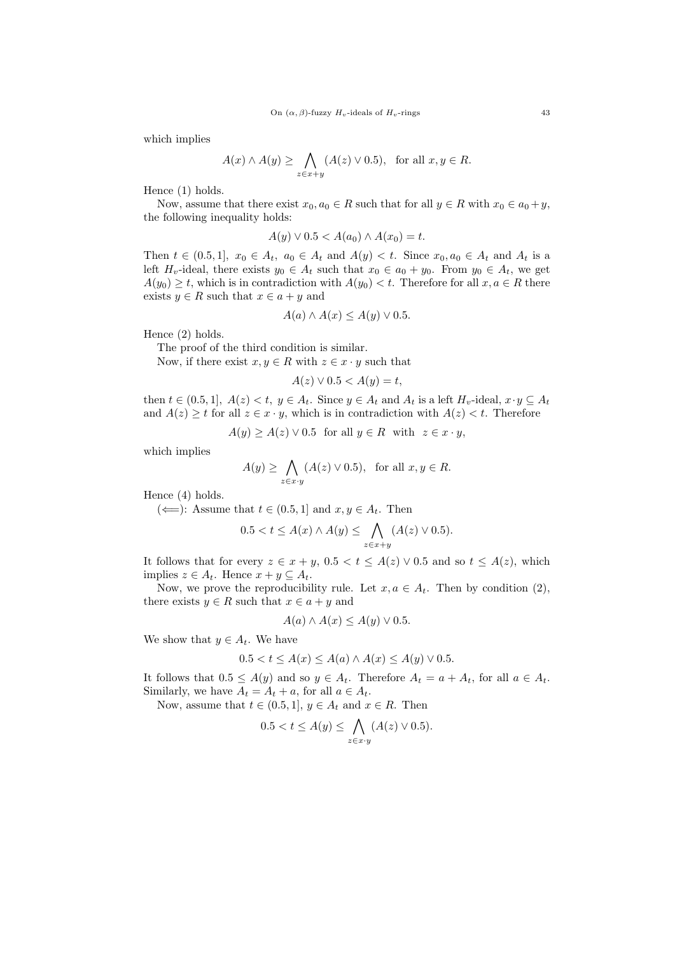which implies

$$
A(x) \wedge A(y) \ge \bigwedge_{z \in x+y} (A(z) \vee 0.5), \text{ for all } x, y \in R.
$$

Hence (1) holds.

Now, assume that there exist  $x_0, a_0 \in R$  such that for all  $y \in R$  with  $x_0 \in a_0 + y$ , the following inequality holds:

$$
A(y) \vee 0.5 < A(a_0) \wedge A(x_0) = t.
$$

Then  $t \in (0.5, 1], x_0 \in A_t$ ,  $a_0 \in A_t$  and  $A(y) < t$ . Since  $x_0, a_0 \in A_t$  and  $A_t$  is a left  $H_v$ -ideal, there exists  $y_0 \in A_t$  such that  $x_0 \in a_0 + y_0$ . From  $y_0 \in A_t$ , we get  $A(y_0) \geq t$ , which is in contradiction with  $A(y_0) < t$ . Therefore for all  $x, a \in R$  there exists  $y \in R$  such that  $x \in a + y$  and

$$
A(a) \wedge A(x) \le A(y) \vee 0.5.
$$

Hence (2) holds.

The proof of the third condition is similar.

Now, if there exist  $x, y \in R$  with  $z \in x \cdot y$  such that

$$
A(z) \lor 0.5 < A(y) = t
$$

then  $t \in (0.5, 1], A(z) < t, y \in A_t$ . Since  $y \in A_t$  and  $A_t$  is a left  $H_v$ -ideal,  $x \cdot y \subseteq A_t$ and  $A(z) \geq t$  for all  $z \in x \cdot y$ , which is in contradiction with  $A(z) < t$ . Therefore

$$
A(y) \ge A(z) \vee 0.5 \text{ for all } y \in R \text{ with } z \in x \cdot y,
$$

which implies

$$
A(y) \ge \bigwedge_{z \in x \cdot y} (A(z) \vee 0.5), \text{ for all } x, y \in R.
$$

Hence (4) holds.

(  $\Leftarrow$  ): Assume that  $t \in (0.5, 1]$  and  $x, y \in A_t$ . Then

$$
0.5 < t \le A(x) \wedge A(y) \le \bigwedge_{z \in x+y} (A(z) \vee 0.5).
$$

It follows that for every  $z \in x + y$ ,  $0.5 < t \leq A(z) \vee 0.5$  and so  $t \leq A(z)$ , which implies  $z \in A_t$ . Hence  $x + y \subseteq A_t$ .

Now, we prove the reproducibility rule. Let  $x, a \in A_t$ . Then by condition (2), there exists  $y \in R$  such that  $x \in a + y$  and

$$
A(a) \wedge A(x) \le A(y) \vee 0.5.
$$

We show that  $y \in A_t$ . We have

$$
0.5 < t \le A(x) \le A(a) \land A(x) \le A(y) \lor 0.5.
$$

It follows that  $0.5 \leq A(y)$  and so  $y \in A_t$ . Therefore  $A_t = a + A_t$ , for all  $a \in A_t$ . Similarly, we have  $A_t = A_t + a$ , for all  $a \in A_t$ .

Now, assume that  $t \in (0.5, 1], y \in A_t$  and  $x \in R$ . Then

$$
0.5 < t \le A(y) \le \bigwedge_{z \in x \cdot y} (A(z) \vee 0.5).
$$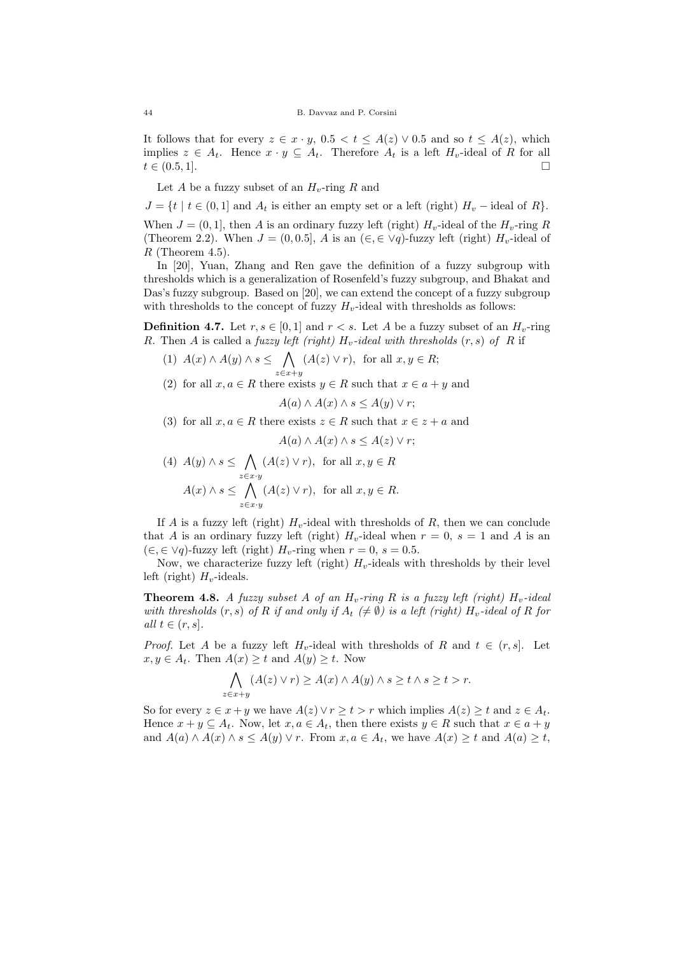It follows that for every  $z \in x \cdot y$ ,  $0.5 < t \leq A(z) \vee 0.5$  and so  $t \leq A(z)$ , which implies  $z \in A_t$ . Hence  $x \cdot y \subseteq A_t$ . Therefore  $A_t$  is a left  $H_v$ -ideal of R for all  $t \in (0.5, 1].$ 

Let A be a fuzzy subset of an  $H_v$ -ring R and

 $J = \{t \mid t \in (0,1] \text{ and } A_t \text{ is either an empty set or a left (right) } H_v$  – ideal of R $\}$ . When  $J = (0, 1]$ , then A is an ordinary fuzzy left (right)  $H<sub>v</sub>$ -ideal of the  $H<sub>v</sub>$ -ring R (Theorem 2.2). When  $J = (0, 0.5]$ , A is an  $(\in, \in \vee q)$ -fuzzy left (right)  $H_v$ -ideal of  $R$  (Theorem 4.5).

In [20], Yuan, Zhang and Ren gave the definition of a fuzzy subgroup with thresholds which is a generalization of Rosenfeld's fuzzy subgroup, and Bhakat and Das's fuzzy subgroup. Based on [20], we can extend the concept of a fuzzy subgroup with thresholds to the concept of fuzzy  $H_v$ -ideal with thresholds as follows:

**Definition 4.7.** Let  $r, s \in [0, 1]$  and  $r < s$ . Let A be a fuzzy subset of an  $H<sub>v</sub>$ -ring R. Then A is called a fuzzy left (right)  $H_v$ -ideal with thresholds  $(r, s)$  of R if

- (1)  $A(x) \wedge A(y) \wedge s \leq \bigwedge$  $z \in x + y$  $(A(z) \vee r)$ , for all  $x, y \in R$ ;
- (2) for all  $x, a \in R$  there exists  $y \in R$  such that  $x \in a + y$  and

$$
A(a) \wedge A(x) \wedge s \le A(y) \vee r;
$$

(3) for all  $x, a \in R$  there exists  $z \in R$  such that  $x \in z + a$  and

$$
A(a) \wedge A(x) \wedge s \le A(z) \vee r;
$$

(4) 
$$
A(y) \wedge s \leq \bigwedge_{z \in x \cdot y} (A(z) \vee r)
$$
, for all  $x, y \in R$   
 $A(x) \wedge s \leq \bigwedge_{z \in x \cdot y} (A(z) \vee r)$ , for all  $x, y \in R$ .

If A is a fuzzy left (right)  $H_v$ -ideal with thresholds of R, then we can conclude that A is an ordinary fuzzy left (right)  $H_v$ -ideal when  $r = 0$ ,  $s = 1$  and A is an  $(\in, \in \vee q)$ -fuzzy left (right)  $H_v$ -ring when  $r = 0$ ,  $s = 0.5$ .

Now, we characterize fuzzy left (right)  $H_v$ -ideals with thresholds by their level left (right)  $H_v$ -ideals.

**Theorem 4.8.** A fuzzy subset A of an  $H_v$ -ring R is a fuzzy left (right)  $H_v$ -ideal with thresholds  $(r, s)$  of R if and only if  $A_t \neq \emptyset$  is a left (right)  $H_v$ -ideal of R for all  $t \in (r, s]$ .

*Proof.* Let A be a fuzzy left  $H_v$ -ideal with thresholds of R and  $t \in (r, s]$ . Let  $x, y \in A_t$ . Then  $A(x) \geq t$  and  $A(y) \geq t$ . Now

$$
\bigwedge_{z \in x+y} (A(z) \vee r) \ge A(x) \wedge A(y) \wedge s \ge t \wedge s \ge t > r.
$$

So for every  $z \in x + y$  we have  $A(z) \vee r \geq t > r$  which implies  $A(z) \geq t$  and  $z \in A_t$ . Hence  $x + y \subseteq A_t$ . Now, let  $x, a \in A_t$ , then there exists  $y \in R$  such that  $x \in a + y$ and  $A(a) \wedge A(x) \wedge s \leq A(y) \vee r$ . From  $x, a \in A_t$ , we have  $A(x) \geq t$  and  $A(a) \geq t$ ,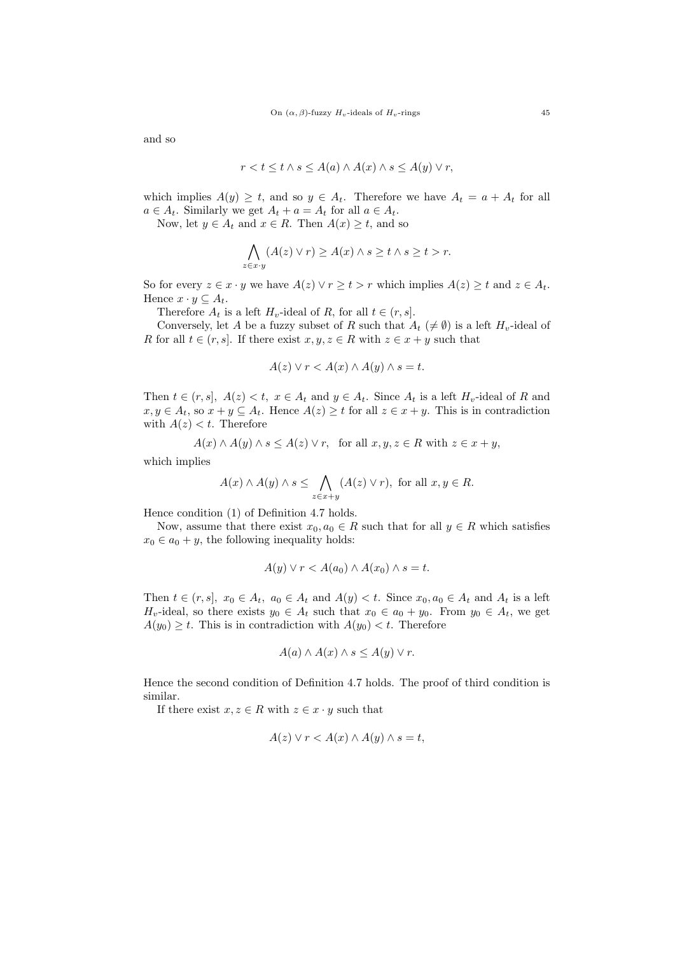and so

$$
r < t \leq t \land s \leq A(a) \land A(x) \land s \leq A(y) \lor r,
$$

which implies  $A(y) \geq t$ , and so  $y \in A_t$ . Therefore we have  $A_t = a + A_t$  for all  $a \in A_t$ . Similarly we get  $A_t + a = A_t$  for all  $a \in A_t$ .

Now, let  $y \in A_t$  and  $x \in R$ . Then  $A(x) \geq t$ , and so

$$
\bigwedge_{z \in x \cdot y} (A(z) \vee r) \ge A(x) \wedge s \ge t \wedge s \ge t > r.
$$

So for every  $z \in x \cdot y$  we have  $A(z) \vee r \geq t > r$  which implies  $A(z) \geq t$  and  $z \in A_t$ . Hence  $x \cdot y \subseteq A_t$ .

Therefore  $A_t$  is a left  $H_v$ -ideal of R, for all  $t \in (r, s]$ .

Conversely, let A be a fuzzy subset of R such that  $A_t \neq \emptyset$  is a left  $H_v$ -ideal of R for all  $t \in (r, s]$ . If there exist  $x, y, z \in R$  with  $z \in x + y$  such that

$$
A(z) \lor r < A(x) \land A(y) \land s = t.
$$

Then  $t \in (r, s]$ ,  $A(z) < t$ ,  $x \in A_t$  and  $y \in A_t$ . Since  $A_t$  is a left  $H_v$ -ideal of R and  $x, y \in A_t$ , so  $x + y \subseteq A_t$ . Hence  $A(z) \geq t$  for all  $z \in x + y$ . This is in contradiction with  $A(z) < t$ . Therefore

$$
A(x) \wedge A(y) \wedge s \le A(z) \vee r, \text{ for all } x, y, z \in R \text{ with } z \in x + y,
$$

which implies

$$
A(x) \wedge A(y) \wedge s \leq \bigwedge_{z \in x+y} (A(z) \vee r), \text{ for all } x, y \in R.
$$

Hence condition (1) of Definition 4.7 holds.

Now, assume that there exist  $x_0, a_0 \in R$  such that for all  $y \in R$  which satisfies  $x_0 \in a_0 + y$ , the following inequality holds:

$$
A(y) \vee r < A(a_0) \wedge A(x_0) \wedge s = t.
$$

Then  $t \in (r, s]$ ,  $x_0 \in A_t$ ,  $a_0 \in A_t$  and  $A(y) < t$ . Since  $x_0, a_0 \in A_t$  and  $A_t$  is a left  $H_v$ -ideal, so there exists  $y_0 \in A_t$  such that  $x_0 \in a_0 + y_0$ . From  $y_0 \in A_t$ , we get  $A(y_0) \geq t$ . This is in contradiction with  $A(y_0) < t$ . Therefore

$$
A(a) \wedge A(x) \wedge s \le A(y) \vee r.
$$

Hence the second condition of Definition 4.7 holds. The proof of third condition is similar.

If there exist  $x, z \in R$  with  $z \in x \cdot y$  such that

$$
A(z) \lor r < A(x) \land A(y) \land s = t,
$$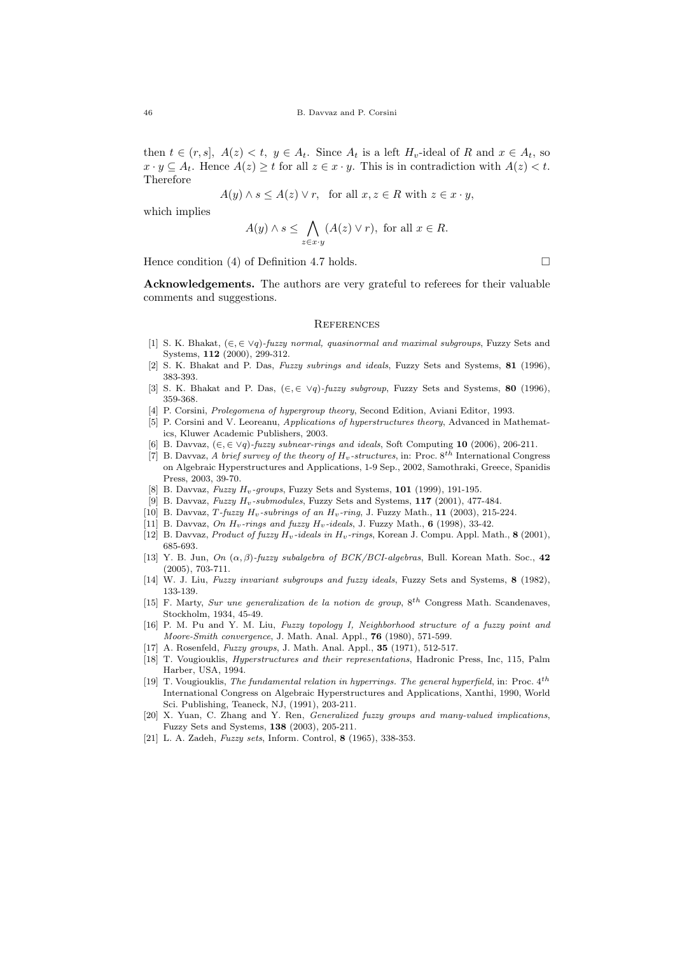then  $t \in (r, s]$ ,  $A(z) < t$ ,  $y \in A_t$ . Since  $A_t$  is a left  $H_v$ -ideal of R and  $x \in A_t$ , so  $x \cdot y \subseteq A_t$ . Hence  $A(z) \geq t$  for all  $z \in x \cdot y$ . This is in contradiction with  $A(z) < t$ . Therefore

$$
A(y) \land s \le A(z) \lor r, \text{ for all } x, z \in R \text{ with } z \in x \cdot y,
$$

which implies

$$
A(y) \wedge s \leq \bigwedge_{z \in x \cdot y} (A(z) \vee r), \text{ for all } x \in R.
$$

Hence condition (4) of Definition 4.7 holds.  $\square$ 

Acknowledgements. The authors are very grateful to referees for their valuable comments and suggestions.

#### **REFERENCES**

- [1] S. K. Bhakat,  $(\in \in \vee q)$ -fuzzy normal, quasinormal and maximal subgroups, Fuzzy Sets and Systems, 112 (2000), 299-312.
- [2] S. K. Bhakat and P. Das, Fuzzy subrings and ideals, Fuzzy Sets and Systems, 81 (1996), 383-393.
- [3] S. K. Bhakat and P. Das,  $(\in, \in \forall q)$ -fuzzy subgroup, Fuzzy Sets and Systems, 80 (1996), 359-368.
- [4] P. Corsini, Prolegomena of hypergroup theory, Second Edition, Aviani Editor, 1993.
- [5] P. Corsini and V. Leoreanu, Applications of hyperstructures theory, Advanced in Mathematics, Kluwer Academic Publishers, 2003.
- B. Davvaz,  $(\epsilon, \epsilon \vee q)$ -fuzzy subnear-rings and ideals, Soft Computing 10 (2006), 206-211.
- [7] B. Davvaz, A brief survey of the theory of  $H_v$ -structures, in: Proc.  $8^{t\bar{h}}$  International Congress on Algebraic Hyperstructures and Applications, 1-9 Sep., 2002, Samothraki, Greece, Spanidis Press, 2003, 39-70.
- [8] B. Davvaz, Fuzzy  $H_v$ -groups, Fuzzy Sets and Systems, 101 (1999), 191-195.
- [9] B. Davvaz, Fuzzy  $H_v$ -submodules, Fuzzy Sets and Systems, 117 (2001), 477-484.
- [10] B. Davvaz, T-fuzzy  $H_v$ -subrings of an  $H_v$ -ring, J. Fuzzy Math., 11 (2003), 215-224.
- [11] B. Davvaz, On  $H_v$ -rings and fuzzy  $H_v$ -ideals, J. Fuzzy Math., 6 (1998), 33-42.
- [12] B. Davvaz, Product of fuzzy  $H_v$ -ideals in  $H_v$ -rings, Korean J. Compu. Appl. Math., 8 (2001), 685-693.
- [13] Y. B. Jun, On  $(\alpha, \beta)$ -fuzzy subalgebra of BCK/BCI-algebras, Bull. Korean Math. Soc., 42 (2005), 703-711.
- [14] W. J. Liu, Fuzzy invariant subgroups and fuzzy ideals, Fuzzy Sets and Systems, 8 (1982). 133-139.
- [15] F. Marty, Sur une generalization de la notion de group,  $8^{th}$  Congress Math. Scandenaves, Stockholm, 1934, 45-49.
- [16] P. M. Pu and Y. M. Liu, Fuzzy topology I, Neighborhood structure of a fuzzy point and Moore-Smith convergence, J. Math. Anal. Appl., 76 (1980), 571-599.
- [17] A. Rosenfeld, *Fuzzy groups*, J. Math. Anal. Appl., **35** (1971), 512-517.
- [18] T. Vougiouklis, Hyperstructures and their representations, Hadronic Press, Inc, 115, Palm Harber, USA, 1994.
- [19] T. Vougiouklis, The fundamental relation in hyperrings. The general hyperfield, in: Proc.  $4^{th}$ International Congress on Algebraic Hyperstructures and Applications, Xanthi, 1990, World Sci. Publishing, Teaneck, NJ, (1991), 203-211.
- [20] X. Yuan, C. Zhang and Y. Ren, Generalized fuzzy groups and many-valued implications, Fuzzy Sets and Systems, 138 (2003), 205-211.
- [21] L. A. Zadeh, Fuzzy sets, Inform. Control, 8 (1965), 338-353.